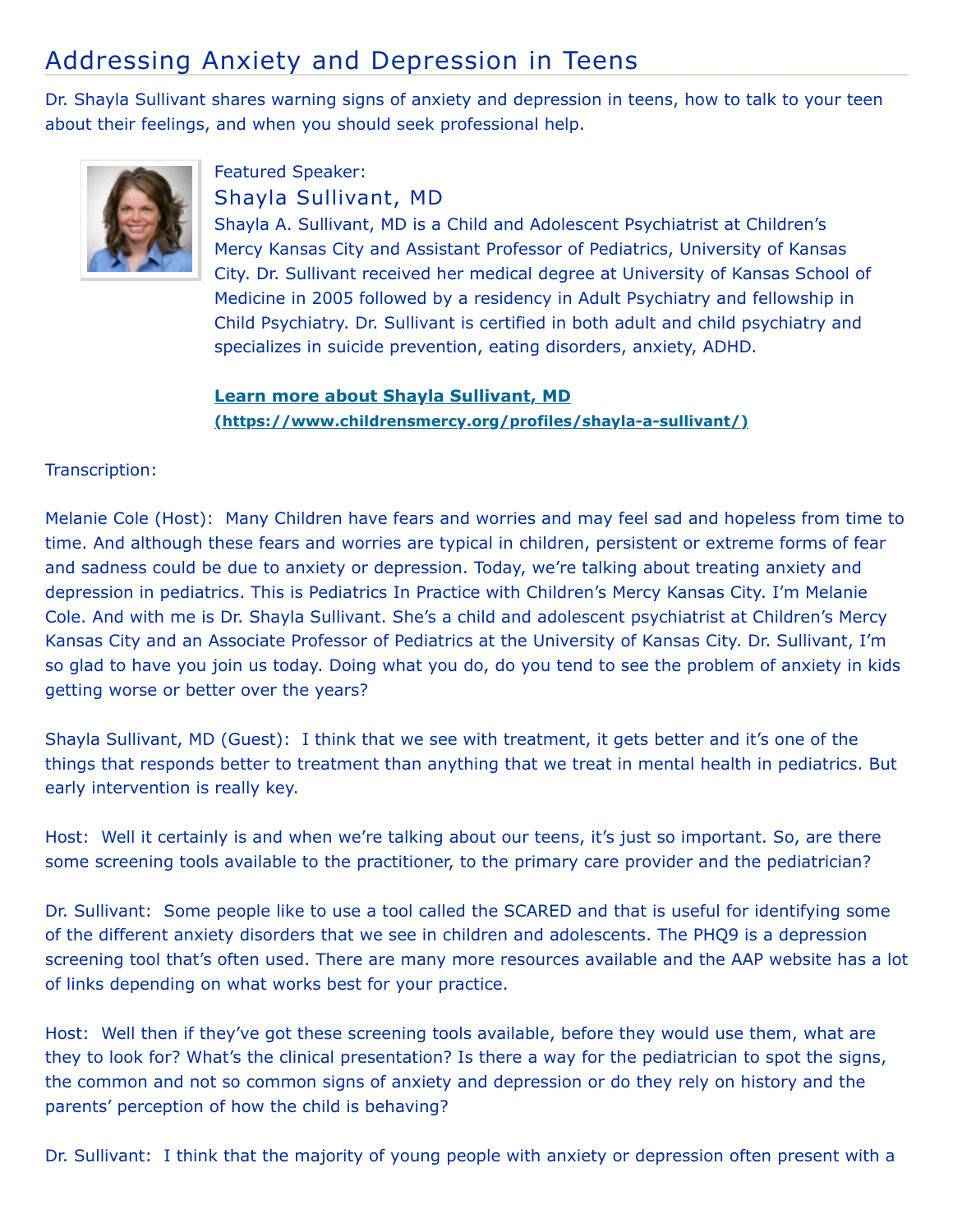## Addressing Anxiety and Depression in Teens

Dr. Shayla Sullivant shares warning signs of anxiety and depression in teens, how to talk to your teen about their feelings, and when you should seek professional help.



## Featured Speaker: Shayla Sullivant, MD

Shayla A. Sullivant, MD is a Child and Adolescent Psychiatrist at Children's Mercy Kansas City and Assistant Professor of Pediatrics, University of Kansas City. Dr. Sullivant received her medical degree at University of Kansas School of Medicine in 2005 followed by a residency in Adult Psychiatry and fellowship in Child Psychiatry. Dr. Sullivant is certified in both adult and child psychiatry and specializes in suicide prevention, eating disorders, anxiety, ADHD.

## **Learn more about Shayla Sullivant, MD [\(https://www.childrensmercy.org/profiles/shayla-a-sullivant/\)](https://www.childrensmercy.org/profiles/shayla-a-sullivant/)**

## Transcription:

Melanie Cole (Host): Many Children have fears and worries and may feel sad and hopeless from time to time. And although these fears and worries are typical in children, persistent or extreme forms of fear and sadness could be due to anxiety or depression. Today, we're talking about treating anxiety and depression in pediatrics. This is Pediatrics In Practice with Children's Mercy Kansas City. I'm Melanie Cole. And with me is Dr. Shayla Sullivant. She's a child and adolescent psychiatrist at Children's Mercy Kansas City and an Associate Professor of Pediatrics at the University of Kansas City. Dr. Sullivant, I'm so glad to have you join us today. Doing what you do, do you tend to see the problem of anxiety in kids getting worse or better over the years?

Shayla Sullivant, MD (Guest): I think that we see with treatment, it gets better and it's one of the things that responds better to treatment than anything that we treat in mental health in pediatrics. But early intervention is really key.

Host: Well it certainly is and when we're talking about our teens, it's just so important. So, are there some screening tools available to the practitioner, to the primary care provider and the pediatrician?

Dr. Sullivant: Some people like to use a tool called the SCARED and that is useful for identifying some of the different anxiety disorders that we see in children and adolescents. The PHQ9 is a depression screening tool that's often used. There are many more resources available and the AAP website has a lot of links depending on what works best for your practice.

Host: Well then if they've got these screening tools available, before they would use them, what are they to look for? What's the clinical presentation? Is there a way for the pediatrician to spot the signs, the common and not so common signs of anxiety and depression or do they rely on history and the parents' perception of how the child is behaving?

Dr. Sullivant: I think that the majority of young people with anxiety or depression often present with a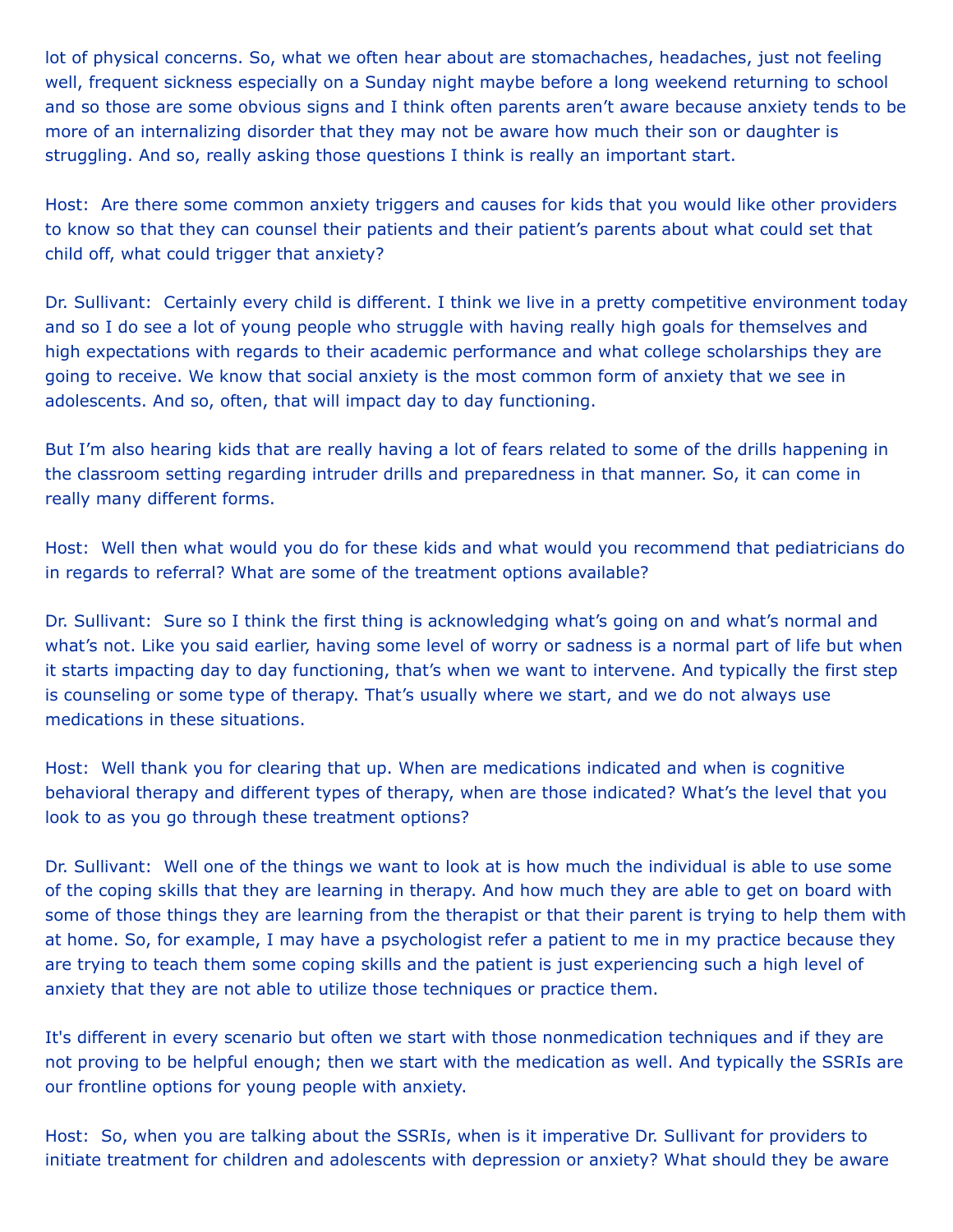lot of physical concerns. So, what we often hear about are stomachaches, headaches, just not feeling well, frequent sickness especially on a Sunday night maybe before a long weekend returning to school and so those are some obvious signs and I think often parents aren't aware because anxiety tends to be more of an internalizing disorder that they may not be aware how much their son or daughter is struggling. And so, really asking those questions I think is really an important start.

Host: Are there some common anxiety triggers and causes for kids that you would like other providers to know so that they can counsel their patients and their patient's parents about what could set that child off, what could trigger that anxiety?

Dr. Sullivant: Certainly every child is different. I think we live in a pretty competitive environment today and so I do see a lot of young people who struggle with having really high goals for themselves and high expectations with regards to their academic performance and what college scholarships they are going to receive. We know that social anxiety is the most common form of anxiety that we see in adolescents. And so, often, that will impact day to day functioning.

But I'm also hearing kids that are really having a lot of fears related to some of the drills happening in the classroom setting regarding intruder drills and preparedness in that manner. So, it can come in really many different forms.

Host: Well then what would you do for these kids and what would you recommend that pediatricians do in regards to referral? What are some of the treatment options available?

Dr. Sullivant: Sure so I think the first thing is acknowledging what's going on and what's normal and what's not. Like you said earlier, having some level of worry or sadness is a normal part of life but when it starts impacting day to day functioning, that's when we want to intervene. And typically the first step is counseling or some type of therapy. That's usually where we start, and we do not always use medications in these situations.

Host: Well thank you for clearing that up. When are medications indicated and when is cognitive behavioral therapy and different types of therapy, when are those indicated? What's the level that you look to as you go through these treatment options?

Dr. Sullivant: Well one of the things we want to look at is how much the individual is able to use some of the coping skills that they are learning in therapy. And how much they are able to get on board with some of those things they are learning from the therapist or that their parent is trying to help them with at home. So, for example, I may have a psychologist refer a patient to me in my practice because they are trying to teach them some coping skills and the patient is just experiencing such a high level of anxiety that they are not able to utilize those techniques or practice them.

It's different in every scenario but often we start with those nonmedication techniques and if they are not proving to be helpful enough; then we start with the medication as well. And typically the SSRIs are our frontline options for young people with anxiety.

Host: So, when you are talking about the SSRIs, when is it imperative Dr. Sullivant for providers to initiate treatment for children and adolescents with depression or anxiety? What should they be aware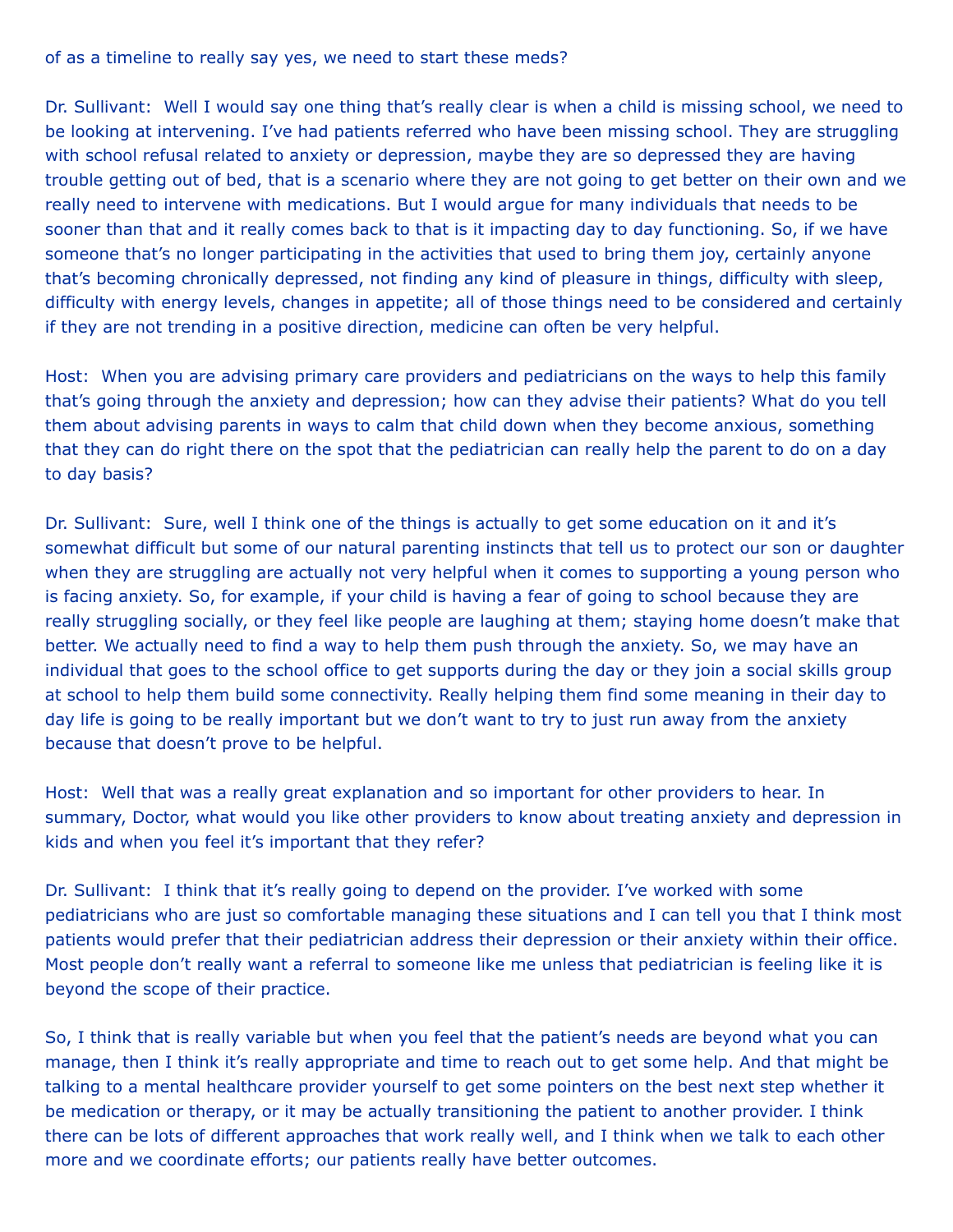of as a timeline to really say yes, we need to start these meds?

Dr. Sullivant: Well I would say one thing that's really clear is when a child is missing school, we need to be looking at intervening. I've had patients referred who have been missing school. They are struggling with school refusal related to anxiety or depression, maybe they are so depressed they are having trouble getting out of bed, that is a scenario where they are not going to get better on their own and we really need to intervene with medications. But I would argue for many individuals that needs to be sooner than that and it really comes back to that is it impacting day to day functioning. So, if we have someone that's no longer participating in the activities that used to bring them joy, certainly anyone that's becoming chronically depressed, not finding any kind of pleasure in things, difficulty with sleep, difficulty with energy levels, changes in appetite; all of those things need to be considered and certainly if they are not trending in a positive direction, medicine can often be very helpful.

Host: When you are advising primary care providers and pediatricians on the ways to help this family that's going through the anxiety and depression; how can they advise their patients? What do you tell them about advising parents in ways to calm that child down when they become anxious, something that they can do right there on the spot that the pediatrician can really help the parent to do on a day to day basis?

Dr. Sullivant: Sure, well I think one of the things is actually to get some education on it and it's somewhat difficult but some of our natural parenting instincts that tell us to protect our son or daughter when they are struggling are actually not very helpful when it comes to supporting a young person who is facing anxiety. So, for example, if your child is having a fear of going to school because they are really struggling socially, or they feel like people are laughing at them; staying home doesn't make that better. We actually need to find a way to help them push through the anxiety. So, we may have an individual that goes to the school office to get supports during the day or they join a social skills group at school to help them build some connectivity. Really helping them find some meaning in their day to day life is going to be really important but we don't want to try to just run away from the anxiety because that doesn't prove to be helpful.

Host: Well that was a really great explanation and so important for other providers to hear. In summary, Doctor, what would you like other providers to know about treating anxiety and depression in kids and when you feel it's important that they refer?

Dr. Sullivant: I think that it's really going to depend on the provider. I've worked with some pediatricians who are just so comfortable managing these situations and I can tell you that I think most patients would prefer that their pediatrician address their depression or their anxiety within their office. Most people don't really want a referral to someone like me unless that pediatrician is feeling like it is beyond the scope of their practice.

So, I think that is really variable but when you feel that the patient's needs are beyond what you can manage, then I think it's really appropriate and time to reach out to get some help. And that might be talking to a mental healthcare provider yourself to get some pointers on the best next step whether it be medication or therapy, or it may be actually transitioning the patient to another provider. I think there can be lots of different approaches that work really well, and I think when we talk to each other more and we coordinate efforts; our patients really have better outcomes.